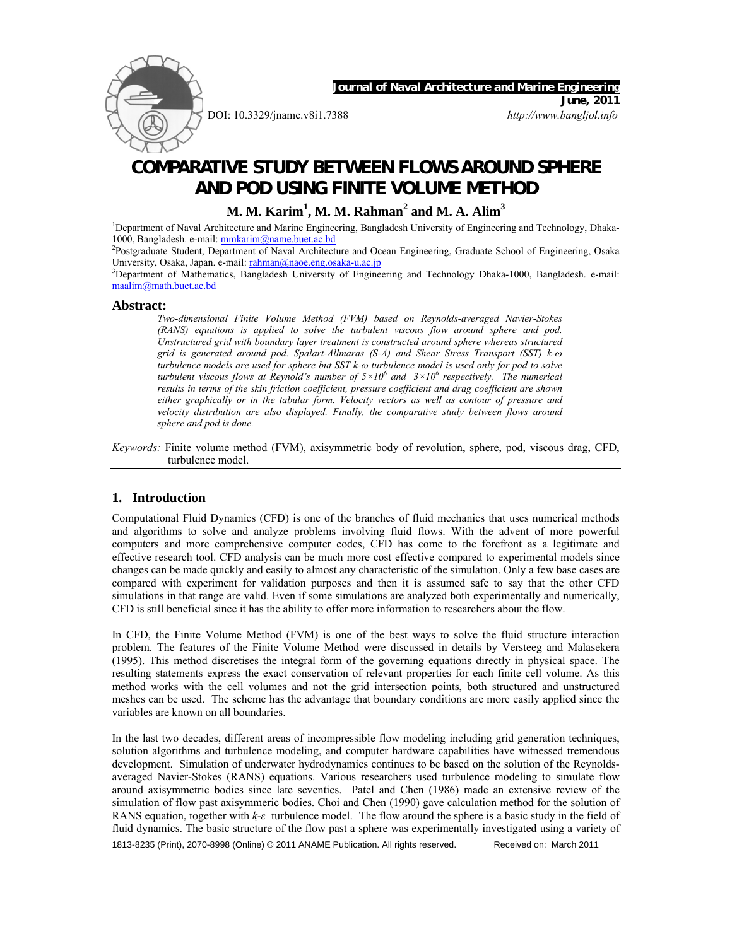

DOI: 10.3329/jname.v8i1.7388 *http://www.bangljol.info*

*Journal of Naval Architecture and Marine Engine* 

*June, 2011* 

# **COMPARATIVE STUDY BETWEEN FLOWS AROUND SPHERE AND POD USING FINITE VOLUME METHOD**

**M. M. Karim<sup>1</sup> , M. M. Rahman<sup>2</sup> and M. A. Alim<sup>3</sup>**

<sup>1</sup>Department of Naval Architecture and Marine Engineering, Bangladesh University of Engineering and Technology, Dhaka-1000, Bangladesh. e-mail: mmkarim@name.buet.ac.bd <sup>2</sup>

Postgraduate Student, Department of Naval Architecture and Ocean Engineering, Graduate School of Engineering, Osaka University, Osaka, Japan. e-mail: rahman@naoe.eng.osaka-u.ac.jp

<sup>3</sup>Department of Mathematics, Bangladesh University of Engineering and Technology Dhaka-1000, Bangladesh. e-mail: maalim@math.buet.ac.bd

## **Abstract:**

*Two-dimensional Finite Volume Method (FVM) based on Reynolds-averaged Navier-Stokes (RANS) equations is applied to solve the turbulent viscous flow around sphere and pod. Unstructured grid with boundary layer treatment is constructed around sphere whereas structured grid is generated around pod. Spalart-Allmaras (S-A) and Shear Stress Transport (SST) k-ω turbulence models are used for sphere but SST k-ω turbulence model is used only for pod to solve*  turbulent viscous flows at Reynold's number of  $5\times10^6$  and  $3\times10^6$  respectively. The numerical *results in terms of the skin friction coefficient, pressure coefficient and drag coefficient are shown either graphically or in the tabular form. Velocity vectors as well as contour of pressure and velocity distribution are also displayed. Finally, the comparative study between flows around sphere and pod is done.* 

*Keywords:* Finite volume method (FVM), axisymmetric body of revolution, sphere, pod, viscous drag, CFD, turbulence model.

## **1. Introduction**

Computational Fluid Dynamics (CFD) is one of the branches of fluid mechanics that uses numerical methods and algorithms to solve and analyze problems involving fluid flows. With the advent of more powerful computers and more comprehensive computer codes, CFD has come to the forefront as a legitimate and effective research tool. CFD analysis can be much more cost effective compared to experimental models since changes can be made quickly and easily to almost any characteristic of the simulation. Only a few base cases are compared with experiment for validation purposes and then it is assumed safe to say that the other CFD simulations in that range are valid. Even if some simulations are analyzed both experimentally and numerically, CFD is still beneficial since it has the ability to offer more information to researchers about the flow.

In CFD, the Finite Volume Method (FVM) is one of the best ways to solve the fluid structure interaction problem. The features of the Finite Volume Method were discussed in details by Versteeg and Malasekera (1995). This method discretises the integral form of the governing equations directly in physical space. The resulting statements express the exact conservation of relevant properties for each finite cell volume. As this method works with the cell volumes and not the grid intersection points, both structured and unstructured meshes can be used. The scheme has the advantage that boundary conditions are more easily applied since the variables are known on all boundaries.

In the last two decades, different areas of incompressible flow modeling including grid generation techniques, solution algorithms and turbulence modeling, and computer hardware capabilities have witnessed tremendous development. Simulation of underwater hydrodynamics continues to be based on the solution of the Reynoldsaveraged Navier-Stokes (RANS) equations. Various researchers used turbulence modeling to simulate flow around axisymmetric bodies since late seventies. Patel and Chen (1986) made an extensive review of the simulation of flow past axisymmeric bodies. Choi and Chen (1990) gave calculation method for the solution of RANS equation, together with  $k-\varepsilon$  turbulence model. The flow around the sphere is a basic study in the field of fluid dynamics. The basic structure of the flow past a sphere was experimentally investigated using a variety of

1813-8235 (Print), 2070-8998 (Online) © 2011 ANAME Publication. All rights reserved. Received on: March 2011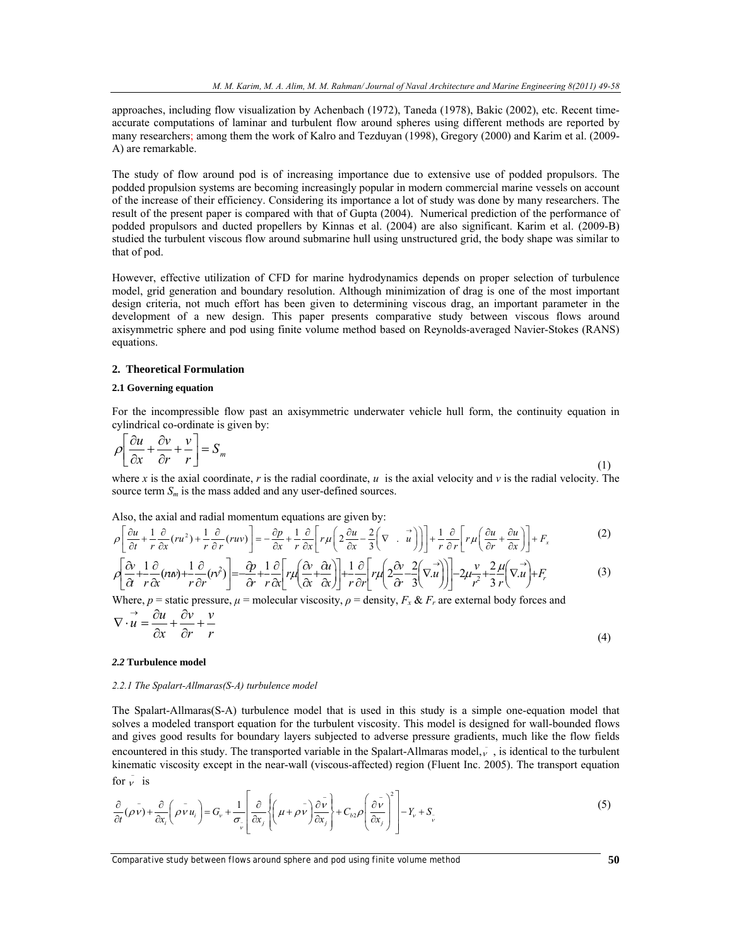approaches, including flow visualization by Achenbach (1972), Taneda (1978), Bakic (2002), etc. Recent timeaccurate computations of laminar and turbulent flow around spheres using different methods are reported by many researchers; among them the work of Kalro and Tezduyan (1998), Gregory (2000) and Karim et al. (2009- A) are remarkable.

The study of flow around pod is of increasing importance due to extensive use of podded propulsors. The podded propulsion systems are becoming increasingly popular in modern commercial marine vessels on account of the increase of their efficiency. Considering its importance a lot of study was done by many researchers. The result of the present paper is compared with that of Gupta (2004). Numerical prediction of the performance of podded propulsors and ducted propellers by Kinnas et al. (2004) are also significant. Karim et al. (2009-B) studied the turbulent viscous flow around submarine hull using unstructured grid, the body shape was similar to that of pod.

However, effective utilization of CFD for marine hydrodynamics depends on proper selection of turbulence model, grid generation and boundary resolution. Although minimization of drag is one of the most important design criteria, not much effort has been given to determining viscous drag, an important parameter in the development of a new design. This paper presents comparative study between viscous flows around axisymmetric sphere and pod using finite volume method based on Reynolds-averaged Navier-Stokes (RANS) equations.

## **2. Theoretical Formulation**

#### **2.1 Governing equation**

For the incompressible flow past an axisymmetric underwater vehicle hull form, the continuity equation in cylindrical co-ordinate is given by:

$$
\rho \left[ \frac{\partial u}{\partial x} + \frac{\partial v}{\partial r} + \frac{v}{r} \right] = S_m \tag{1}
$$

where *x* is the axial coordinate, *r* is the radial coordinate, *u* is the axial velocity and *v* is the radial velocity. The source term  $S_m$  is the mass added and any user-defined sources.

Also, the axial and radial momentum equations are given by:

$$
\rho \left[ \frac{\partial u}{\partial t} + \frac{1}{r} \frac{\partial}{\partial x} (r u^2) + \frac{1}{r} \frac{\partial}{\partial r} (r u v) \right] = -\frac{\partial p}{\partial x} + \frac{1}{r} \frac{\partial}{\partial x} \left[ r \mu \left( 2 \frac{\partial u}{\partial x} - \frac{2}{3} \left( \nabla \cdot \vec{u} \right) \right) \right] + \frac{1}{r} \frac{\partial}{\partial r} \left[ r \mu \left( \frac{\partial u}{\partial r} + \frac{\partial u}{\partial x} \right) \right] + F_x \tag{2}
$$

$$
\rho \left[ \frac{\partial}{\partial t} + \frac{1}{r} \frac{\partial}{\partial t} (r u v) + \frac{1}{r} \frac{\partial}{\partial r} (r v^2) \right] = \frac{\partial}{\partial r} + \frac{1}{r} \frac{\partial}{\partial x} \left[ r \mu \left( \frac{\partial}{\partial t} + \frac{\partial u}{\partial x} \right) \right] + \frac{1}{r} \frac{\partial}{\partial r} \left[ r \mu \left( 2 \frac{\partial v}{\partial r} - \frac{2}{3} \left( \nabla u \right) \right) \right] - 2 \mu \frac{v}{r^2} + \frac{2}{3} \frac{\mu}{r} \left( \nabla u \right) + F_r \tag{3}
$$

Where,  $p =$  static pressure,  $\mu =$  molecular viscosity,  $\rho =$  density,  $F_x \& F_r$  are external body forces and

$$
\nabla \cdot \vec{u} = \frac{\partial u}{\partial x} + \frac{\partial v}{\partial r} + \frac{v}{r}
$$
 (4)

#### *2.2* **Turbulence model**

#### *2.2.1 The Spalart-Allmaras(S-A) turbulence model*

The Spalart-Allmaras(S-A) turbulence model that is used in this study is a simple one-equation model that solves a modeled transport equation for the turbulent viscosity. This model is designed for wall-bounded flows and gives good results for boundary layers subjected to adverse pressure gradients, much like the flow fields encountered in this study. The transported variable in the Spalart-Allmaras model,  $\bar{v}$ , is identical to the turbulent kinematic viscosity except in the near-wall (viscous-affected) region (Fluent Inc. 2005). The transport equation for  $\bar{v}$  is  $\overline{v}$  is  $\overline{v}$  is  $\overline{v}$  is  $\overline{v}$ 

$$
\frac{\partial}{\partial t}(\rho \bar{v}) + \frac{\partial}{\partial x_i}(\rho \bar{v} u_i) = G_v + \frac{1}{\sigma_v} \left[ \frac{\partial}{\partial x_j} \left\{ \left( \mu + \rho \bar{v} \right) \frac{\partial \bar{v}}{\partial x_j} \right\} + C_{b2} \rho \left( \frac{\partial \bar{v}}{\partial x_j} \right)^2 \right] - Y_v + S_v \tag{5}
$$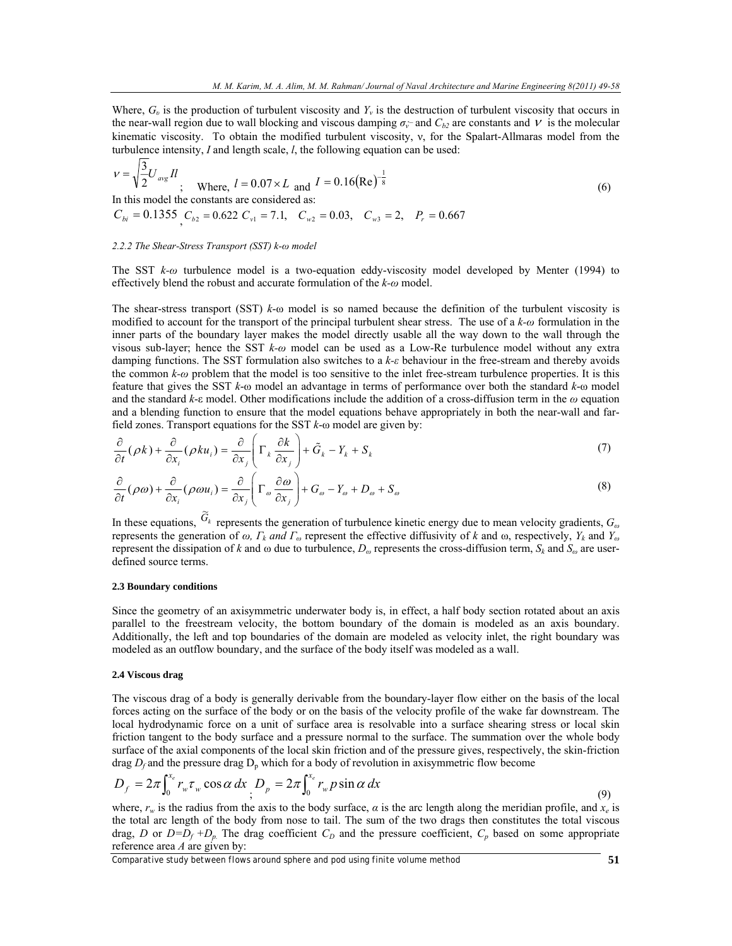Where,  $G<sub>v</sub>$  is the production of turbulent viscosity and  $Y<sub>v</sub>$  is the destruction of turbulent viscosity that occurs in the near-wall region due to wall blocking and viscous damping  $\sigma_v$ <sup>-</sup> and  $C_{b2}$  are constants and  $V$  is the molecular kinematic viscosity. To obtain the modified turbulent viscosity, ν, for the Spalart-Allmaras model from the turbulence intensity, *I* and length scale, *l*, the following equation can be used:

$$
v = \sqrt{\frac{3}{2}} U_{avg} II
$$
  
In this model the constants are considered as: (6)

 $C_{bi} = 0.1355 \sum_{r} C_{b2} = 0.622 \ C_{v1} = 7.1, \quad C_{w2} = 0.03, \quad C_{w3} = 2, \quad P_r = 0.667$ 

#### *2.2.2 The Shear-Stress Transport (SST) k-ω model*

The SST *k-ω* turbulence model is a two-equation eddy-viscosity model developed by Menter (1994) to effectively blend the robust and accurate formulation of the *k-ω* model.

The shear-stress transport (SST) *k*-ω model is so named because the definition of the turbulent viscosity is modified to account for the transport of the principal turbulent shear stress. The use of a *k-ω* formulation in the inner parts of the boundary layer makes the model directly usable all the way down to the wall through the visous sub-layer; hence the SST *k-ω* model can be used as a Low-Re turbulence model without any extra damping functions. The SST formulation also switches to a *k-ε* behaviour in the free-stream and thereby avoids the common *k-ω* problem that the model is too sensitive to the inlet free-stream turbulence properties. It is this feature that gives the SST *k*-ω model an advantage in terms of performance over both the standard *k*-ω model and the standard *k*-ε model. Other modifications include the addition of a cross-diffusion term in the *ω* equation and a blending function to ensure that the model equations behave appropriately in both the near-wall and farfield zones. Transport equations for the SST *k*-ω model are given by:

$$
\frac{\partial}{\partial t}(\rho k) + \frac{\partial}{\partial x_i}(\rho k u_i) = \frac{\partial}{\partial x_j} \left( \Gamma_k \frac{\partial k}{\partial x_j} \right) + \tilde{G}_k - Y_k + S_k \tag{7}
$$

$$
\frac{\partial}{\partial t}(\rho\omega) + \frac{\partial}{\partial x_i}(\rho\omega u_i) = \frac{\partial}{\partial x_j} \left( \Gamma_\omega \frac{\partial \omega}{\partial x_j} \right) + G_\omega - Y_\omega + D_\omega + S_\omega \tag{8}
$$

In these equations,  $\tilde{G}_k$  represents the generation of turbulence kinetic energy due to mean velocity gradients, *G<sup>ω</sup>* represents the generation of  $\omega$ ,  $\Gamma_k$  and  $\Gamma_\omega$  represent the effective diffusivity of k and  $\omega$ , respectively,  $Y_k$  and  $Y_\omega$ represent the dissipation of *k* and  $\omega$  due to turbulence,  $D_{\omega}$  represents the cross-diffusion term,  $S_k$  and  $S_{\omega}$  are userdefined source terms.

#### **2.3 Boundary conditions**

Since the geometry of an axisymmetric underwater body is, in effect, a half body section rotated about an axis parallel to the freestream velocity, the bottom boundary of the domain is modeled as an axis boundary. Additionally, the left and top boundaries of the domain are modeled as velocity inlet, the right boundary was modeled as an outflow boundary, and the surface of the body itself was modeled as a wall.

#### **2.4 Viscous drag**

The viscous drag of a body is generally derivable from the boundary-layer flow either on the basis of the local forces acting on the surface of the body or on the basis of the velocity profile of the wake far downstream. The local hydrodynamic force on a unit of surface area is resolvable into a surface shearing stress or local skin friction tangent to the body surface and a pressure normal to the surface. The summation over the whole body surface of the axial components of the local skin friction and of the pressure gives, respectively, the skin-friction drag  $D_f$  and the pressure drag  $D_p$  which for a body of revolution in axisymmetric flow become

$$
D_f = 2\pi \int_0^{x_e} r_w \tau_w \cos \alpha \, dx \bigg|_p^p = 2\pi \int_0^{x_e} r_w p \sin \alpha \, dx \tag{9}
$$

where,  $r_w$  is the radius from the axis to the body surface,  $\alpha$  is the arc length along the meridian profile, and  $x_e$  is the total arc length of the body from nose to tail. The sum of the two drags then constitutes the total viscous drag, *D* or  $D=D_f+D_p$ . The drag coefficient  $C_p$  and the pressure coefficient,  $C_p$  based on some appropriate reference area *A* are given by: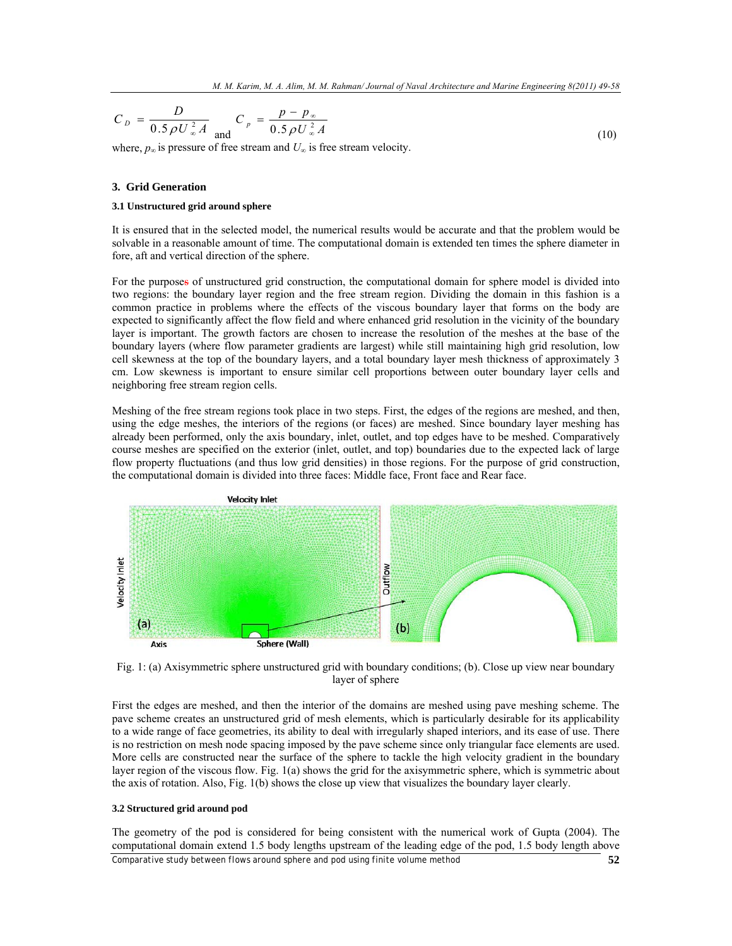$$
C_{D} = \frac{D}{0.5 \rho U_{\infty}^{2} A} \frac{C_{p}}{\text{and}} = \frac{p - p_{\infty}}{0.5 \rho U_{\infty}^{2} A}
$$
(10)

where,  $p_\infty$  is pressure of free stream and  $U_\infty$  is free stream velocity.

## **3. Grid Generation**

#### **3.1 Unstructured grid around sphere**

It is ensured that in the selected model, the numerical results would be accurate and that the problem would be solvable in a reasonable amount of time. The computational domain is extended ten times the sphere diameter in fore, aft and vertical direction of the sphere.

For the purposes of unstructured grid construction, the computational domain for sphere model is divided into two regions: the boundary layer region and the free stream region. Dividing the domain in this fashion is a common practice in problems where the effects of the viscous boundary layer that forms on the body are expected to significantly affect the flow field and where enhanced grid resolution in the vicinity of the boundary layer is important. The growth factors are chosen to increase the resolution of the meshes at the base of the boundary layers (where flow parameter gradients are largest) while still maintaining high grid resolution, low cell skewness at the top of the boundary layers, and a total boundary layer mesh thickness of approximately 3 cm. Low skewness is important to ensure similar cell proportions between outer boundary layer cells and neighboring free stream region cells.

Meshing of the free stream regions took place in two steps. First, the edges of the regions are meshed, and then, using the edge meshes, the interiors of the regions (or faces) are meshed. Since boundary layer meshing has already been performed, only the axis boundary, inlet, outlet, and top edges have to be meshed. Comparatively course meshes are specified on the exterior (inlet, outlet, and top) boundaries due to the expected lack of large flow property fluctuations (and thus low grid densities) in those regions. For the purpose of grid construction, the computational domain is divided into three faces: Middle face, Front face and Rear face.



Fig. 1: (a) Axisymmetric sphere unstructured grid with boundary conditions; (b). Close up view near boundary layer of sphere

First the edges are meshed, and then the interior of the domains are meshed using pave meshing scheme. The pave scheme creates an unstructured grid of mesh elements, which is particularly desirable for its applicability to a wide range of face geometries, its ability to deal with irregularly shaped interiors, and its ease of use. There is no restriction on mesh node spacing imposed by the pave scheme since only triangular face elements are used. More cells are constructed near the surface of the sphere to tackle the high velocity gradient in the boundary layer region of the viscous flow. Fig. 1(a) shows the grid for the axisymmetric sphere, which is symmetric about the axis of rotation. Also, Fig. 1(b) shows the close up view that visualizes the boundary layer clearly.

## **3.2 Structured grid around pod**

*Comparative study between flows around sphere and pod using finite volume method* **52** The geometry of the pod is considered for being consistent with the numerical work of Gupta (2004). The computational domain extend 1.5 body lengths upstream of the leading edge of the pod, 1.5 body length above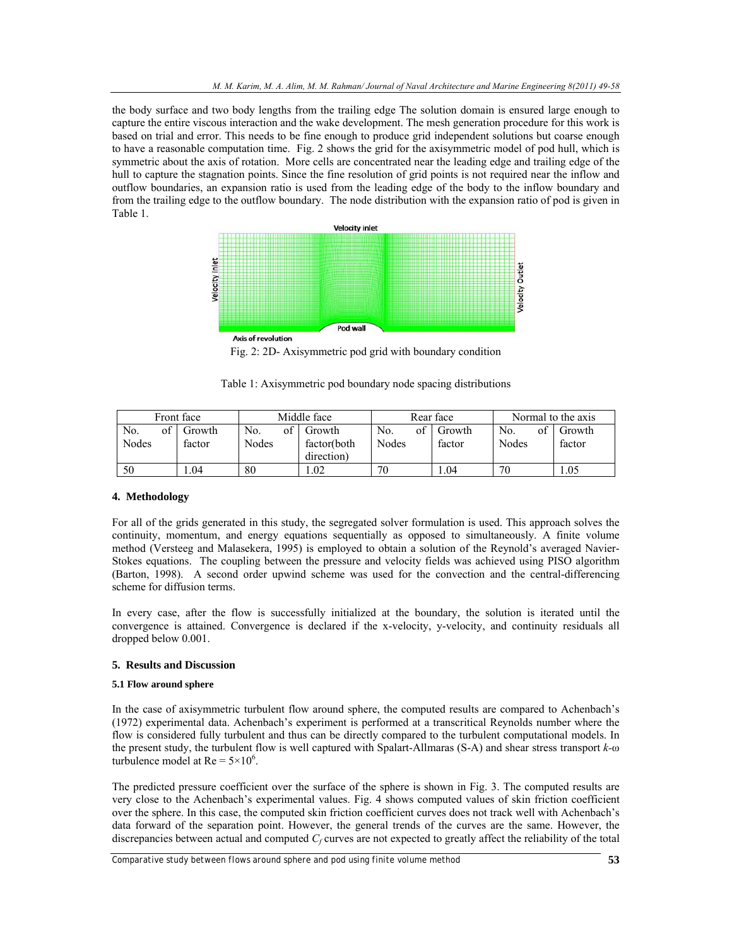the body surface and two body lengths from the trailing edge The solution domain is ensured large enough to capture the entire viscous interaction and the wake development. The mesh generation procedure for this work is based on trial and error. This needs to be fine enough to produce grid independent solutions but coarse enough to have a reasonable computation time. Fig. 2 shows the grid for the axisymmetric model of pod hull, which is symmetric about the axis of rotation. More cells are concentrated near the leading edge and trailing edge of the hull to capture the stagnation points. Since the fine resolution of grid points is not required near the inflow and outflow boundaries, an expansion ratio is used from the leading edge of the body to the inflow boundary and from the trailing edge to the outflow boundary. The node distribution with the expansion ratio of pod is given in Table 1.



Fig. 2: 2D- Axisymmetric pod grid with boundary condition

| Table 1: Axisymmetric pod boundary node spacing distributions |  |  |
|---------------------------------------------------------------|--|--|
|                                                               |  |  |

| Front face                                        |                               | Middle face           |                    | Rear face        |                    | Normal to the axis |
|---------------------------------------------------|-------------------------------|-----------------------|--------------------|------------------|--------------------|--------------------|
| N <sub>o</sub><br>of<br>Growth<br>Nodes<br>factor | of<br>N <sub>0</sub><br>Nodes | Growth<br>factor(both | of<br>No.<br>Nodes | Growth<br>factor | of<br>No.<br>Nodes | Growth<br>factor   |
|                                                   |                               | direction)            |                    |                  |                    |                    |
| 50<br>.04                                         | 80                            | .02                   | 70                 | .04              | 70                 | 0.05               |

## **4. Methodology**

For all of the grids generated in this study, the segregated solver formulation is used. This approach solves the continuity, momentum, and energy equations sequentially as opposed to simultaneously. A finite volume method (Versteeg and Malasekera, 1995) is employed to obtain a solution of the Reynold's averaged Navier-Stokes equations. The coupling between the pressure and velocity fields was achieved using PISO algorithm (Barton, 1998). A second order upwind scheme was used for the convection and the central-differencing scheme for diffusion terms.

In every case, after the flow is successfully initialized at the boundary, the solution is iterated until the convergence is attained. Convergence is declared if the x-velocity, y-velocity, and continuity residuals all dropped below 0.001.

## **5. Results and Discussion**

#### **5.1 Flow around sphere**

In the case of axisymmetric turbulent flow around sphere, the computed results are compared to Achenbach's (1972) experimental data. Achenbach's experiment is performed at a transcritical Reynolds number where the flow is considered fully turbulent and thus can be directly compared to the turbulent computational models. In the present study, the turbulent flow is well captured with Spalart-Allmaras (S-A) and shear stress transport *k-*ω turbulence model at  $Re = 5 \times 10^6$ .

The predicted pressure coefficient over the surface of the sphere is shown in Fig. 3. The computed results are very close to the Achenbach's experimental values. Fig. 4 shows computed values of skin friction coefficient over the sphere. In this case, the computed skin friction coefficient curves does not track well with Achenbach's data forward of the separation point. However, the general trends of the curves are the same. However, the discrepancies between actual and computed  $C_f$  curves are not expected to greatly affect the reliability of the total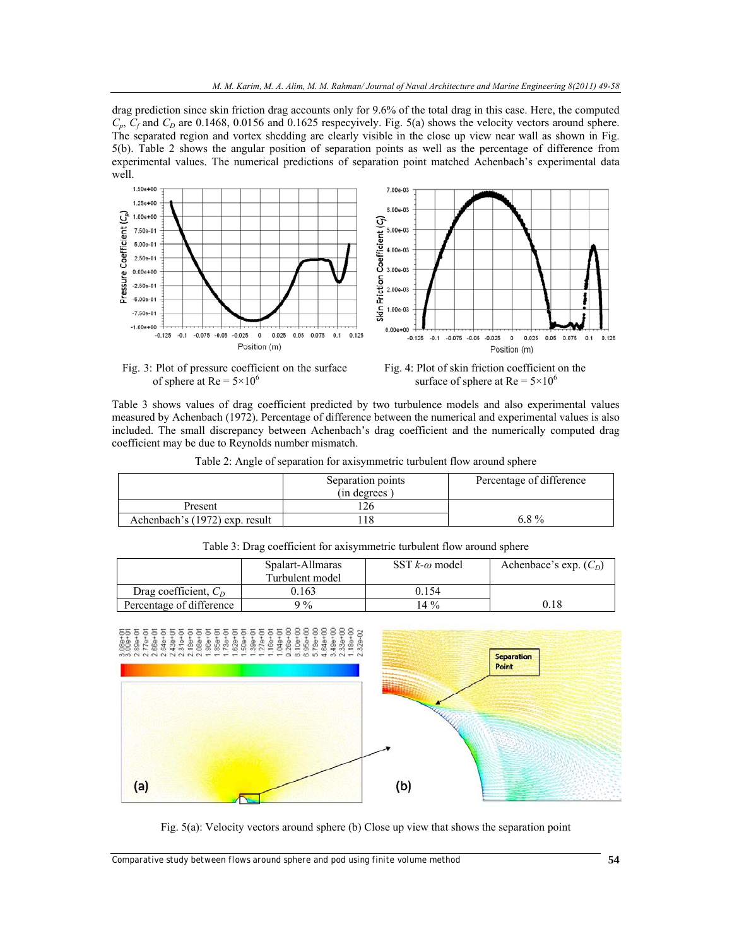drag prediction since skin friction drag accounts only for 9.6% of the total drag in this case. Here, the computed  $C_p$ ,  $C_f$  and  $C_D$  are 0.1468, 0.0156 and 0.1625 respecyively. Fig. 5(a) shows the velocity vectors around sphere. The separated region and vortex shedding are clearly visible in the close up view near wall as shown in Fig. 5(b). Table 2 shows the angular position of separation points as well as the percentage of difference from experimental values. The numerical predictions of separation point matched Achenbach's experimental data well.





Fig. 4: Plot of skin friction coefficient on the surface of sphere at  $Re = 5 \times 10^6$ 

Table 3 shows values of drag coefficient predicted by two turbulence models and also experimental values measured by Achenbach (1972). Percentage of difference between the numerical and experimental values is also included. The small discrepancy between Achenbach's drag coefficient and the numerically computed drag coefficient may be due to Reynolds number mismatch.

|                                | Separation points<br>$(in$ degrees) | Percentage of difference |
|--------------------------------|-------------------------------------|--------------------------|
| Present                        | 26                                  |                          |
| Achenbach's (1972) exp. result |                                     | 6.8 $%$                  |

| Table 2: Angle of separation for axisymmetric turbulent flow around sphere |  |  |
|----------------------------------------------------------------------------|--|--|
|                                                                            |  |  |
|                                                                            |  |  |

|                          | Spalart-Allmaras | SST $k$ - $\omega$ model | Achenbace's exp. $(C_D)$ |
|--------------------------|------------------|--------------------------|--------------------------|
|                          | Turbulent model  |                          |                          |
| Drag coefficient, $C_D$  | J.163            | ) 154                    |                          |
| Percentage of difference | $9\%$            | $14\%$                   | 0.18                     |

Table 3: Drag coefficient for axisymmetric turbulent flow around sphere



Fig. 5(a): Velocity vectors around sphere (b) Close up view that shows the separation point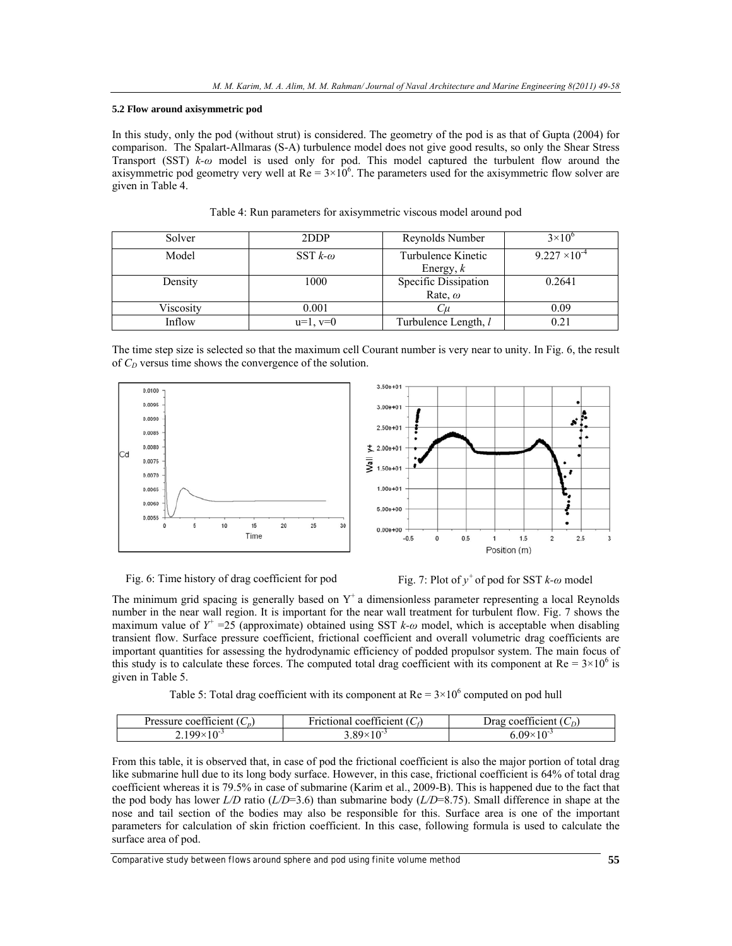#### **5.2 Flow around axisymmetric pod**

In this study, only the pod (without strut) is considered. The geometry of the pod is as that of Gupta (2004) for comparison. The Spalart-Allmaras (S-A) turbulence model does not give good results, so only the Shear Stress Transport (SST) *k-ω* model is used only for pod. This model captured the turbulent flow around the axisymmetric pod geometry very well at  $Re = 3 \times 10^6$ . The parameters used for the axisymmetric flow solver are given in Table 4.

| Solver    | 2DDP           | Reynolds Number      | $3\times10^{6}$        |
|-----------|----------------|----------------------|------------------------|
| Model     | SST $k-\omega$ | Turbulence Kinetic   | $9.227 \times 10^{-4}$ |
|           |                | Energy, $k$          |                        |
| Density   | 1000           | Specific Dissipation | 0.2641                 |
|           |                | Rate, $\omega$       |                        |
| Viscosity | 0.001          |                      | 0.09                   |
| Inflow    | $u=1, v=0$     | Turbulence Length, l | 0.21                   |

## Table 4: Run parameters for axisymmetric viscous model around pod

The time step size is selected so that the maximum cell Courant number is very near to unity. In Fig. 6, the result of  $C_D$  versus time shows the convergence of the solution.





## Fig. 7: Plot of  $y^+$  of pod for SST  $k$ - $\omega$  model

The minimum grid spacing is generally based on  $Y^+$  a dimensionless parameter representing a local Reynolds number in the near wall region. It is important for the near wall treatment for turbulent flow. Fig. 7 shows the maximum value of  $Y^+$  =25 (approximate) obtained using SST  $k$ - $\omega$  model, which is acceptable when disabling transient flow. Surface pressure coefficient, frictional coefficient and overall volumetric drag coefficients are important quantities for assessing the hydrodynamic efficiency of podded propulsor system. The main focus of this study is to calculate these forces. The computed total drag coefficient with its component at  $Re = 3 \times 10^6$  is given in Table 5.

Table 5: Total drag coefficient with its component at  $Re = 3 \times 10^6$  computed on pod hull

| $\sim$<br>∽<br>coefficient <sup>.</sup><br>Pressure<br>$\sim_n$ | $\sim$<br>'rictional<br>coefficient | $\sim$<br>-<br>.)rag<br>coefficient<br>$\cup_{D}$ |
|-----------------------------------------------------------------|-------------------------------------|---------------------------------------------------|
| ∣∩-3<br>QC                                                      | $\sim$<br>00<br>:4:<br>1 U          | $-1$<br>n۵<br>v.v                                 |

From this table, it is observed that, in case of pod the frictional coefficient is also the major portion of total drag like submarine hull due to its long body surface. However, in this case, frictional coefficient is 64% of total drag coefficient whereas it is 79.5% in case of submarine (Karim et al., 2009-B). This is happened due to the fact that the pod body has lower *L/D* ratio (*L/D*=3.6) than submarine body (*L/D*=8.75). Small difference in shape at the nose and tail section of the bodies may also be responsible for this. Surface area is one of the important parameters for calculation of skin friction coefficient. In this case, following formula is used to calculate the surface area of pod.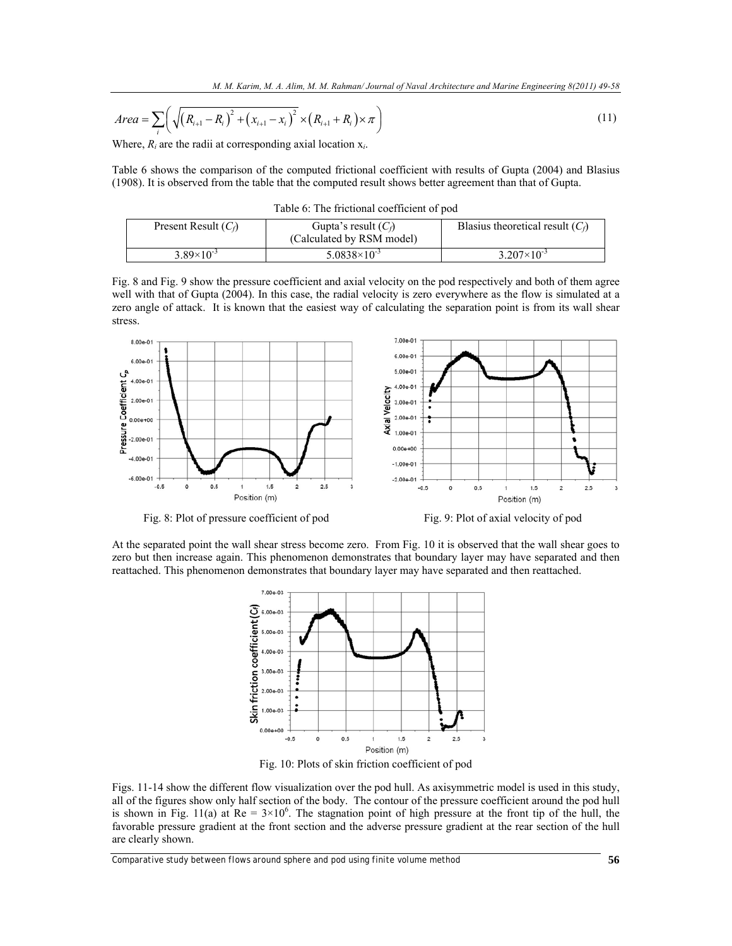$$
Area = \sum_{i} \left( \sqrt{\left(R_{i+1} - R_{i}\right)^{2} + \left(x_{i+1} - x_{i}\right)^{2}} \times \left(R_{i+1} + R_{i}\right) \times \pi \right)
$$
\n(11)

Where,  $R_i$  are the radii at corresponding axial location  $x_i$ .

Table 6 shows the comparison of the computed frictional coefficient with results of Gupta (2004) and Blasius (1908). It is observed from the table that the computed result shows better agreement than that of Gupta.

Table 6: The frictional coefficient of pod

| Present Result $(C_i)$ | Gupta's result $(C_i)$<br>(Calculated by RSM model) | Blasius theoretical result $(C_t)$ |
|------------------------|-----------------------------------------------------|------------------------------------|
| $3.89\times10^{-3}$    | $5.0838\times10^{-3}$                               | $3.207\times10^{-3}$               |

Fig. 8 and Fig. 9 show the pressure coefficient and axial velocity on the pod respectively and both of them agree well with that of Gupta (2004). In this case, the radial velocity is zero everywhere as the flow is simulated at a zero angle of attack. It is known that the easiest way of calculating the separation point is from its wall shear stress.



Fig. 8: Plot of pressure coefficient of pod Fig. 9: Plot of axial velocity of pod

At the separated point the wall shear stress become zero. From Fig. 10 it is observed that the wall shear goes to zero but then increase again. This phenomenon demonstrates that boundary layer may have separated and then reattached. This phenomenon demonstrates that boundary layer may have separated and then reattached.



Fig. 10: Plots of skin friction coefficient of pod

Figs. 11-14 show the different flow visualization over the pod hull. As axisymmetric model is used in this study, all of the figures show only half section of the body. The contour of the pressure coefficient around the pod hull is shown in Fig. 11(a) at  $Re = 3 \times 10^6$ . The stagnation point of high pressure at the front tip of the hull, the favorable pressure gradient at the front section and the adverse pressure gradient at the rear section of the hull are clearly shown.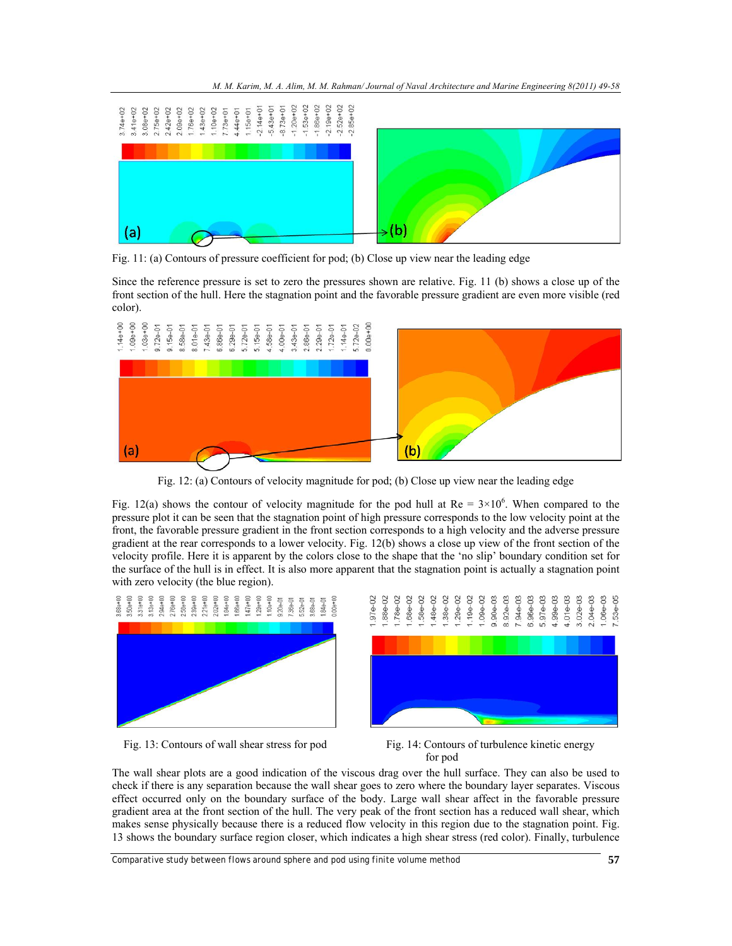

Fig. 11: (a) Contours of pressure coefficient for pod; (b) Close up view near the leading edge

Since the reference pressure is set to zero the pressures shown are relative. Fig. 11 (b) shows a close up of the front section of the hull. Here the stagnation point and the favorable pressure gradient are even more visible (red color).



Fig. 12: (a) Contours of velocity magnitude for pod; (b) Close up view near the leading edge

Fig. 12(a) shows the contour of velocity magnitude for the pod hull at  $Re = 3 \times 10^6$ . When compared to the pressure plot it can be seen that the stagnation point of high pressure corresponds to the low velocity point at the front, the favorable pressure gradient in the front section corresponds to a high velocity and the adverse pressure gradient at the rear corresponds to a lower velocity. Fig. 12(b) shows a close up view of the front section of the velocity profile. Here it is apparent by the colors close to the shape that the 'no slip' boundary condition set for the surface of the hull is in effect. It is also more apparent that the stagnation point is actually a stagnation point with zero velocity (the blue region).



Fig. 13: Contours of wall shear stress for pod Fig. 14: Contours of turbulence kinetic energy



for pod

The wall shear plots are a good indication of the viscous drag over the hull surface. They can also be used to check if there is any separation because the wall shear goes to zero where the boundary layer separates. Viscous effect occurred only on the boundary surface of the body. Large wall shear affect in the favorable pressure gradient area at the front section of the hull. The very peak of the front section has a reduced wall shear, which makes sense physically because there is a reduced flow velocity in this region due to the stagnation point. Fig. 13 shows the boundary surface region closer, which indicates a high shear stress (red color). Finally, turbulence